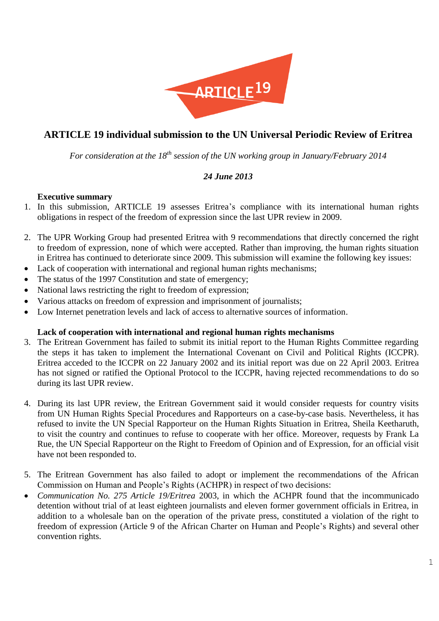

# **ARTICLE 19 individual submission to the UN Universal Periodic Review of Eritrea**

*For consideration at the 18th session of the UN working group in January/February 2014*

# *24 June 2013*

### **Executive summary**

- 1. In this submission, ARTICLE 19 assesses Eritrea's compliance with its international human rights obligations in respect of the freedom of expression since the last UPR review in 2009.
- 2. The UPR Working Group had presented Eritrea with 9 recommendations that directly concerned the right to freedom of expression, none of which were accepted. Rather than improving, the human rights situation in Eritrea has continued to deteriorate since 2009. This submission will examine the following key issues:
- Lack of cooperation with international and regional human rights mechanisms;
- The status of the 1997 Constitution and state of emergency;
- National laws restricting the right to freedom of expression;
- Various attacks on freedom of expression and imprisonment of journalists;
- Low Internet penetration levels and lack of access to alternative sources of information.

### **Lack of cooperation with international and regional human rights mechanisms**

- 3. The Eritrean Government has failed to submit its initial report to the Human Rights Committee regarding the steps it has taken to implement the International Covenant on Civil and Political Rights (ICCPR). Eritrea acceded to the ICCPR on 22 January 2002 and its initial report was due on 22 April 2003. Eritrea has not signed or ratified the Optional Protocol to the ICCPR, having rejected recommendations to do so during its last UPR review.
- 4. During its last UPR review, the Eritrean Government said it would consider requests for country visits from UN Human Rights Special Procedures and Rapporteurs on a case-by-case basis. Nevertheless, it has refused to invite the UN Special Rapporteur on the Human Rights Situation in Eritrea, Sheila Keetharuth, to visit the country and continues to refuse to cooperate with her office. Moreover, requests by Frank La Rue, the UN Special Rapporteur on the Right to Freedom of Opinion and of Expression, for an official visit have not been responded to.
- 5. The Eritrean Government has also failed to adopt or implement the recommendations of the African Commission on Human and People's Rights (ACHPR) in respect of two decisions:
- *Communication No. 275 Article 19/Eritrea* 2003, in which the ACHPR found that the incommunicado detention without trial of at least eighteen journalists and eleven former government officials in Eritrea, in addition to a wholesale ban on the operation of the private press, constituted a violation of the right to freedom of expression (Article 9 of the African Charter on Human and People's Rights) and several other convention rights.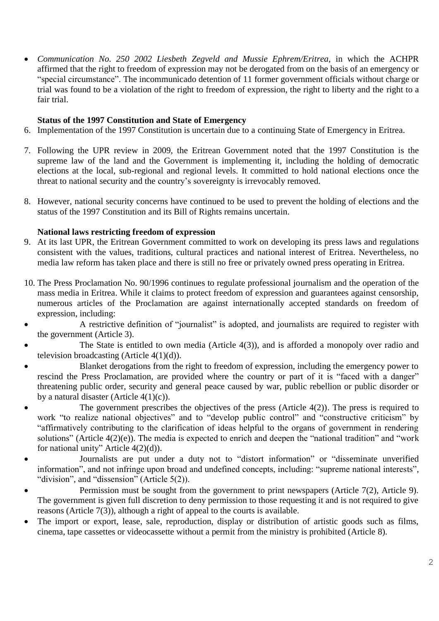*Communication No. 250 2002 Liesbeth Zegveld and Mussie Ephrem/Eritrea*, in which the ACHPR affirmed that the right to freedom of expression may not be derogated from on the basis of an emergency or "special circumstance". The incommunicado detention of 11 former government officials without charge or trial was found to be a violation of the right to freedom of expression, the right to liberty and the right to a fair trial.

# **Status of the 1997 Constitution and State of Emergency**

- 6. Implementation of the 1997 Constitution is uncertain due to a continuing State of Emergency in Eritrea.
- 7. Following the UPR review in 2009, the Eritrean Government noted that the 1997 Constitution is the supreme law of the land and the Government is implementing it, including the holding of democratic elections at the local, sub-regional and regional levels. It committed to hold national elections once the threat to national security and the country's sovereignty is irrevocably removed.
- 8. However, national security concerns have continued to be used to prevent the holding of elections and the status of the 1997 Constitution and its Bill of Rights remains uncertain.

# **National laws restricting freedom of expression**

- 9. At its last UPR, the Eritrean Government committed to work on developing its press laws and regulations consistent with the values, traditions, cultural practices and national interest of Eritrea. Nevertheless, no media law reform has taken place and there is still no free or privately owned press operating in Eritrea.
- 10. The Press Proclamation No. 90/1996 continues to regulate professional journalism and the operation of the mass media in Eritrea. While it claims to protect freedom of expression and guarantees against censorship, numerous articles of the Proclamation are against internationally accepted standards on freedom of expression, including:
- A restrictive definition of "journalist" is adopted, and journalists are required to register with the government (Article 3).
- The State is entitled to own media (Article 4(3)), and is afforded a monopoly over radio and television broadcasting (Article  $4(1)(d)$ ).
- Blanket derogations from the right to freedom of expression, including the emergency power to rescind the Press Proclamation, are provided where the country or part of it is "faced with a danger" threatening public order, security and general peace caused by war, public rebellion or public disorder or by a natural disaster (Article  $4(1)(c)$ ).
- The government prescribes the objectives of the press (Article  $4(2)$ ). The press is required to work "to realize national objectives" and to "develop public control" and "constructive criticism" by "affirmatively contributing to the clarification of ideas helpful to the organs of government in rendering solutions" (Article 4(2)(e)). The media is expected to enrich and deepen the "national tradition" and "work for national unity" Article 4(2)(d)).
- Journalists are put under a duty not to "distort information" or "disseminate unverified information", and not infringe upon broad and undefined concepts, including: "supreme national interests", "division", and "dissension" (Article 5(2)).
- Permission must be sought from the government to print newspapers (Article 7(2), Article 9). The government is given full discretion to deny permission to those requesting it and is not required to give reasons (Article 7(3)), although a right of appeal to the courts is available.
- The import or export, lease, sale, reproduction, display or distribution of artistic goods such as films, cinema, tape cassettes or videocassette without a permit from the ministry is prohibited (Article 8).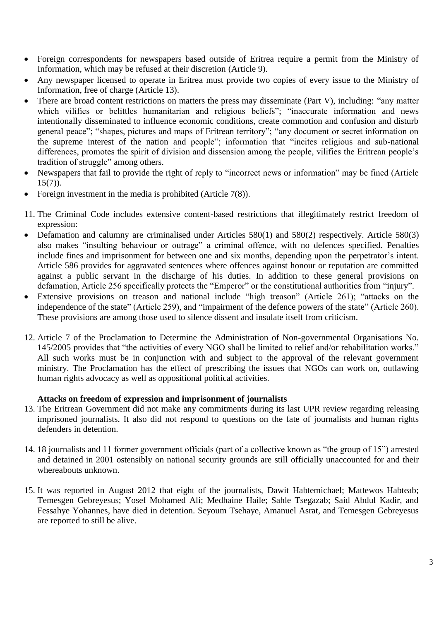- Foreign correspondents for newspapers based outside of Eritrea require a permit from the Ministry of Information, which may be refused at their discretion (Article 9).
- Any newspaper licensed to operate in Eritrea must provide two copies of every issue to the Ministry of Information, free of charge (Article 13).
- There are broad content restrictions on matters the press may disseminate (Part V), including: "any matter which vilifies or belittles humanitarian and religious beliefs"; "inaccurate information and news intentionally disseminated to influence economic conditions, create commotion and confusion and disturb general peace"; "shapes, pictures and maps of Eritrean territory"; "any document or secret information on the supreme interest of the nation and people"; information that "incites religious and sub-national differences, promotes the spirit of division and dissension among the people, vilifies the Eritrean people's tradition of struggle" among others.
- Newspapers that fail to provide the right of reply to "incorrect news or information" may be fined (Article  $15(7)$ ).
- Foreign investment in the media is prohibited (Article 7(8)).
- 11. The Criminal Code includes extensive content-based restrictions that illegitimately restrict freedom of expression:
- Defamation and calumny are criminalised under Articles 580(1) and 580(2) respectively. Article 580(3) also makes "insulting behaviour or outrage" a criminal offence, with no defences specified. Penalties include fines and imprisonment for between one and six months, depending upon the perpetrator's intent. Article 586 provides for aggravated sentences where offences against honour or reputation are committed against a public servant in the discharge of his duties. In addition to these general provisions on defamation, Article 256 specifically protects the "Emperor" or the constitutional authorities from "injury".
- Extensive provisions on treason and national include "high treason" (Article 261); "attacks on the independence of the state" (Article 259), and "impairment of the defence powers of the state" (Article 260). These provisions are among those used to silence dissent and insulate itself from criticism.
- 12. Article 7 of the Proclamation to Determine the Administration of Non-governmental Organisations No. 145/2005 provides that "the activities of every NGO shall be limited to relief and/or rehabilitation works." All such works must be in conjunction with and subject to the approval of the relevant government ministry. The Proclamation has the effect of prescribing the issues that NGOs can work on, outlawing human rights advocacy as well as oppositional political activities.

# **Attacks on freedom of expression and imprisonment of journalists**

- 13. The Eritrean Government did not make any commitments during its last UPR review regarding releasing imprisoned journalists. It also did not respond to questions on the fate of journalists and human rights defenders in detention.
- 14. 18 journalists and 11 former government officials (part of a collective known as "the group of 15") arrested and detained in 2001 ostensibly on national security grounds are still officially unaccounted for and their whereabouts unknown.
- 15. It was reported in August 2012 that eight of the journalists, Dawit Habtemichael; Mattewos Habteab; Temesgen Gebreyesus; Yosef Mohamed Ali; Medhaine Haile; Sahle Tsegazab; Said Abdul Kadir, and Fessahye Yohannes, have died in detention. Seyoum Tsehaye, Amanuel Asrat, and Temesgen Gebreyesus are reported to still be alive.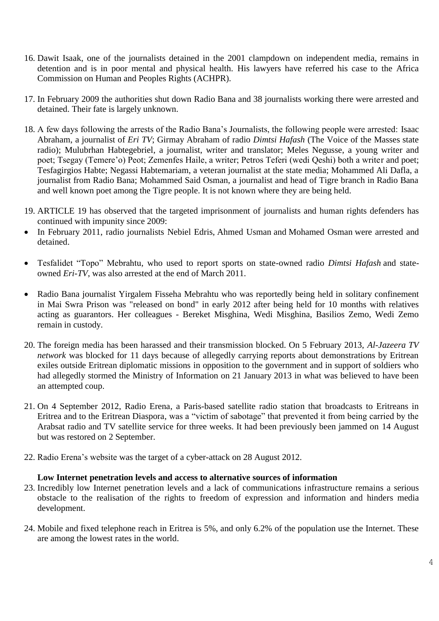- 16. Dawit Isaak, one of the journalists detained in the 2001 clampdown on independent media, remains in detention and is in poor mental and physical health. His lawyers have referred his case to the Africa Commission on Human and Peoples Rights (ACHPR).
- 17. In February 2009 the authorities shut down Radio Bana and 38 journalists working there were arrested and detained. Their fate is largely unknown.
- 18. A few days following the arrests of the Radio Bana's Journalists, the following people were arrested: Isaac Abraham, a journalist of *Eri TV*; Girmay Abraham of radio *Dimtsi Hafash* (The Voice of the Masses state radio); Mulubrhan Habtegebriel, a journalist, writer and translator; Meles Negusse, a young writer and poet; Tsegay (Temere'o) Peot; Zemenfes Haile, a writer; Petros Teferi (wedi Qeshi) both a writer and poet; Tesfagirgios Habte; Negassi Habtemariam, a veteran journalist at the state media; Mohammed Ali Dafla, a journalist from Radio Bana; Mohammed Said Osman, a journalist and head of Tigre branch in Radio Bana and well known poet among the Tigre people. It is not known where they are being held.
- 19. ARTICLE 19 has observed that the targeted imprisonment of journalists and human rights defenders has continued with impunity since 2009:
- In February 2011, radio journalists Nebiel Edris, Ahmed Usman and Mohamed Osman were arrested and detained.
- Tesfalidet "Topo" Mebrahtu, who used to report sports on state-owned radio *Dimtsi Hafash* and stateowned *Eri-TV*, was also arrested at the end of March 2011.
- Radio Bana journalist Yirgalem Fisseha Mebrahtu who was reportedly being held in solitary confinement in Mai Swra Prison was "released on bond" in early 2012 after being held for 10 months with relatives acting as guarantors. Her colleagues - Bereket Misghina, Wedi Misghina, Basilios Zemo, Wedi Zemo remain in custody.
- 20. The foreign media has been harassed and their transmission blocked. On 5 February 2013, *Al-Jazeera TV network* was blocked for 11 days because of allegedly carrying reports about demonstrations by Eritrean exiles outside Eritrean diplomatic missions in opposition to the government and in support of soldiers who had allegedly stormed the Ministry of Information on 21 January 2013 in what was believed to have been an attempted coup.
- 21. On 4 September 2012, Radio Erena, a Paris-based satellite radio station that broadcasts to Eritreans in Eritrea and to the Eritrean Diaspora, was a "victim of sabotage" that prevented it from being carried by the Arabsat radio and TV satellite service for three weeks. It had been previously been jammed on 14 August but was restored on 2 September.
- 22. Radio Erena's website was the target of a cyber-attack on 28 August 2012.

#### **Low Internet penetration levels and access to alternative sources of information**

- 23. Incredibly low Internet penetration levels and a lack of communications infrastructure remains a serious obstacle to the realisation of the rights to freedom of expression and information and hinders media development.
- 24. Mobile and fixed telephone reach in Eritrea is 5%, and only 6.2% of the population use the Internet. These are among the lowest rates in the world.